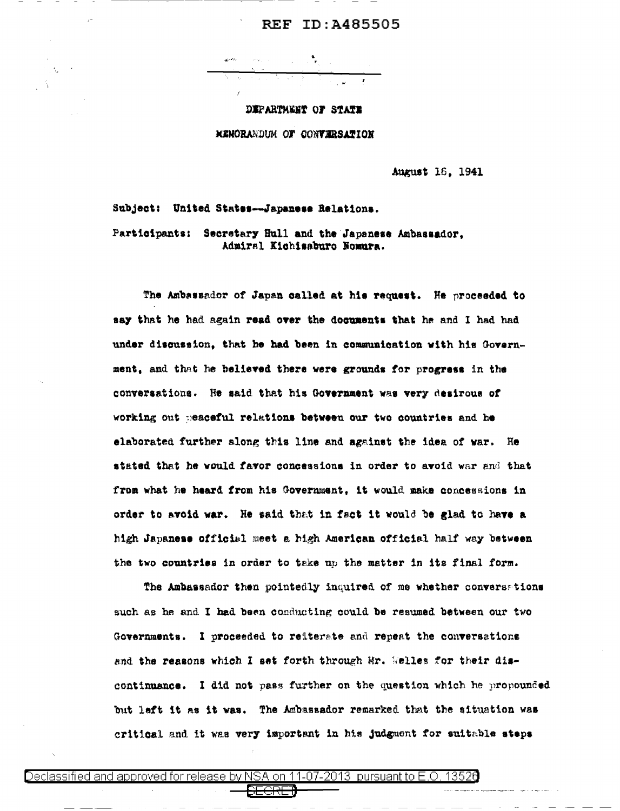## **REF ID:A485505**

DEPARTMENT OF STATE

MENORANDUM OF CONVERSATION

August 16, 1941

Subject: United States--Japanese Relations.

Participants: Secretary Hull and the Japanese Ambassador, Admiral Kichisaburo Nomura.

The Ambassador of Japan called at his request. He proceeded to say that he had again read over the documents that he and I had had under discussion, that he had been in communication with his Government, and that he believed there were grounds for progress in the conversations. He said that his Government was very desirous of working out peaceful relations between our two countries and he elaborated further slong this line and against the idea of war. He stated that he would favor concessions in order to avoid war and that from what he heard from his Government, it would make concessions in order to avoid war. He said that in fact it would be glad to have a high Japanese official meet a high American official half way between the two countries in order to take up the matter in its final form.

The Ambassador then pointedly inquired of me whether conversations such as he and I had been conducting could be resumed between our two Governments. I proceeded to reiterate and repeat the conversations and the reasons which I set forth through Mr. Welles for their discontinuance. I did not pass further on the question which he propounded but left it as it was. The Ambassador remarked that the situation was critical and it was very important in his judgment for suitable steps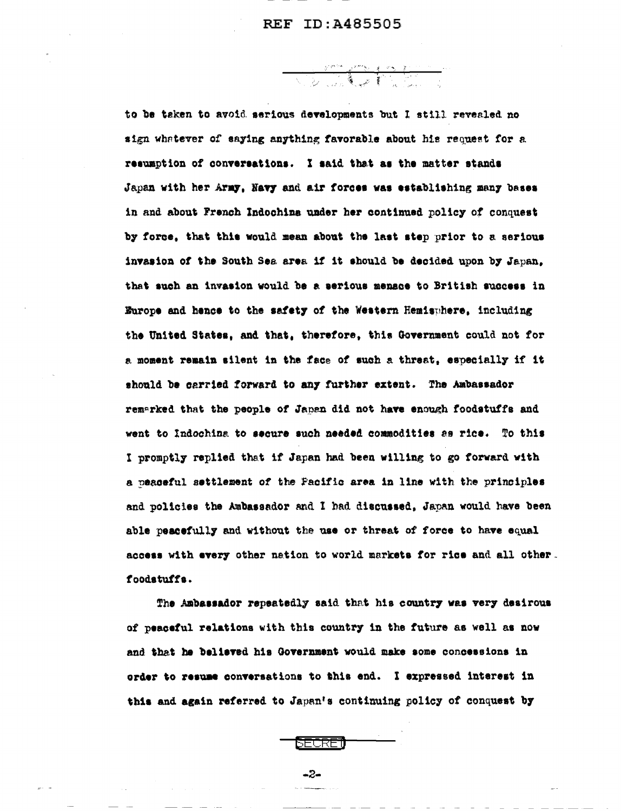<u>Sample Mari</u>

to be taken to avoid serious developments but I still revealed no sign whatever of saying anything favorable about his request for a resumption of conversations. I said that as the matter stands Japan with her Army, Navy and air forces was establishing many bases in and about French Indochina under her continued policy of conquest by force, that this would mean about the last step prior to a serious invasion of the South Sea area if it should be decided upon by Japan. that such an invasion would be a serious menace to British success in Europe and hence to the safety of the Western Hemisuhere, including the United States, and that, therefore, this Government could not for a moment remain silent in the face of such a threat, especially if it should be carried forward to any further extent. The Ambassador remarked that the people of Japan did not have enough foodstuffs and went to Indochina to secure such needed commodities as rice. To this I promptly replied that if Japan had been willing to go forward with a peaceful settlement of the Pacific area in line with the principles and policies the Ambassador and I had discussed. Japan would have been able peacefully and without the use or threat of force to have equal access with every other nation to world markets for rice and all other. foodstuffs.

The Ambassador repeatedly said that his country was very desirous of peaceful relations with this country in the future as well as now and that he believed his Government would make some concessions in order to resume conversations to this end. I expressed interest in this and again referred to Japan's continuing policy of conquest by



 $-2-$